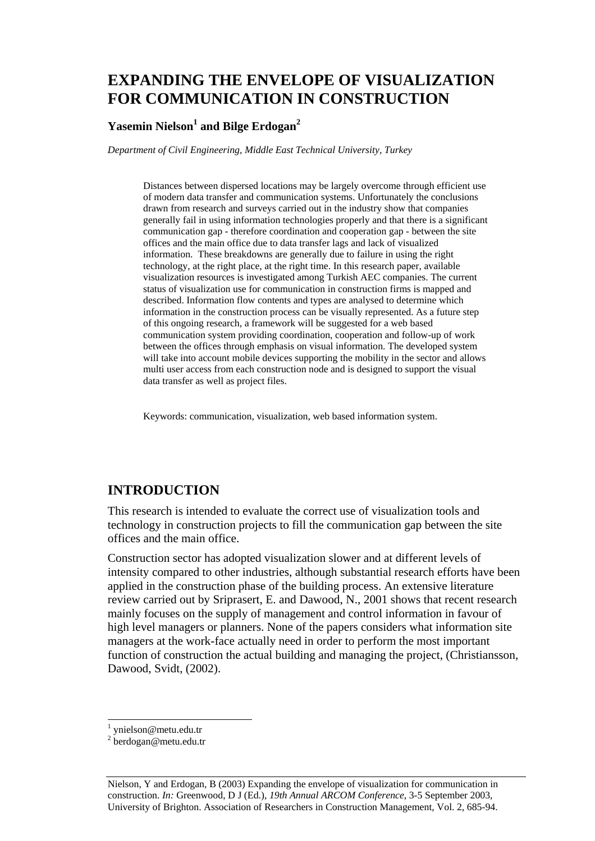# **EXPANDING THE ENVELOPE OF VISUALIZATION FOR COMMUNICATION IN CONSTRUCTION**

#### $\mathbf{Y}$ asemin Nielson $^1$  and Bilge Erdogan $^2$

*Department of Civil Engineering, Middle East Technical University, Turkey* 

Distances between dispersed locations may be largely overcome through efficient use of modern data transfer and communication systems. Unfortunately the conclusions drawn from research and surveys carried out in the industry show that companies generally fail in using information technologies properly and that there is a significant communication gap - therefore coordination and cooperation gap - between the site offices and the main office due to data transfer lags and lack of visualized information. These breakdowns are generally due to failure in using the right technology, at the right place, at the right time. In this research paper, available visualization resources is investigated among Turkish AEC companies. The current status of visualization use for communication in construction firms is mapped and described. Information flow contents and types are analysed to determine which information in the construction process can be visually represented. As a future step of this ongoing research, a framework will be suggested for a web based communication system providing coordination, cooperation and follow-up of work between the offices through emphasis on visual information. The developed system will take into account mobile devices supporting the mobility in the sector and allows multi user access from each construction node and is designed to support the visual data transfer as well as project files.

Keywords: communication, visualization, web based information system.

### **INTRODUCTION**

This research is intended to evaluate the correct use of visualization tools and technology in construction projects to fill the communication gap between the site offices and the main office.

Construction sector has adopted visualization slower and at different levels of intensity compared to other industries, although substantial research efforts have been applied in the construction phase of the building process. An extensive literature review carried out by Sriprasert, E. and Dawood, N., 2001 shows that recent research mainly focuses on the supply of management and control information in favour of high level managers or planners. None of the papers considers what information site managers at the work-face actually need in order to perform the most important function of construction the actual building and managing the project, (Christiansson, Dawood, Svidt, (2002).

l

<sup>1</sup> ynielson@metu.edu.tr

<sup>&</sup>lt;sup>2</sup> berdogan@metu.edu.tr

Nielson, Y and Erdogan, B (2003) Expanding the envelope of visualization for communication in construction. *In:* Greenwood, D J (Ed.), *19th Annual ARCOM Conference*, 3-5 September 2003, University of Brighton. Association of Researchers in Construction Management, Vol. 2, 685-94.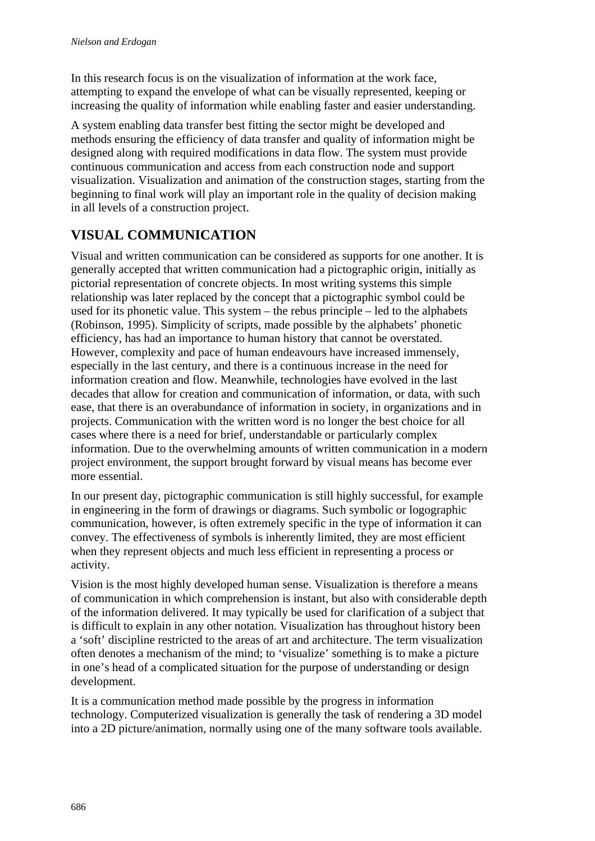In this research focus is on the visualization of information at the work face, attempting to expand the envelope of what can be visually represented, keeping or increasing the quality of information while enabling faster and easier understanding.

A system enabling data transfer best fitting the sector might be developed and methods ensuring the efficiency of data transfer and quality of information might be designed along with required modifications in data flow. The system must provide continuous communication and access from each construction node and support visualization. Visualization and animation of the construction stages, starting from the beginning to final work will play an important role in the quality of decision making in all levels of a construction project.

# **VISUAL COMMUNICATION**

Visual and written communication can be considered as supports for one another. It is generally accepted that written communication had a pictographic origin, initially as pictorial representation of concrete objects. In most writing systems this simple relationship was later replaced by the concept that a pictographic symbol could be used for its phonetic value. This system – the rebus principle – led to the alphabets (Robinson, 1995). Simplicity of scripts, made possible by the alphabets' phonetic efficiency, has had an importance to human history that cannot be overstated. However, complexity and pace of human endeavours have increased immensely, especially in the last century, and there is a continuous increase in the need for information creation and flow. Meanwhile, technologies have evolved in the last decades that allow for creation and communication of information, or data, with such ease, that there is an overabundance of information in society, in organizations and in projects. Communication with the written word is no longer the best choice for all cases where there is a need for brief, understandable or particularly complex information. Due to the overwhelming amounts of written communication in a modern project environment, the support brought forward by visual means has become ever more essential.

In our present day, pictographic communication is still highly successful, for example in engineering in the form of drawings or diagrams. Such symbolic or logographic communication, however, is often extremely specific in the type of information it can convey. The effectiveness of symbols is inherently limited, they are most efficient when they represent objects and much less efficient in representing a process or activity.

Vision is the most highly developed human sense. Visualization is therefore a means of communication in which comprehension is instant, but also with considerable depth of the information delivered. It may typically be used for clarification of a subject that is difficult to explain in any other notation. Visualization has throughout history been a 'soft' discipline restricted to the areas of art and architecture. The term visualization often denotes a mechanism of the mind; to 'visualize' something is to make a picture in one's head of a complicated situation for the purpose of understanding or design development.

It is a communication method made possible by the progress in information technology. Computerized visualization is generally the task of rendering a 3D model into a 2D picture/animation, normally using one of the many software tools available.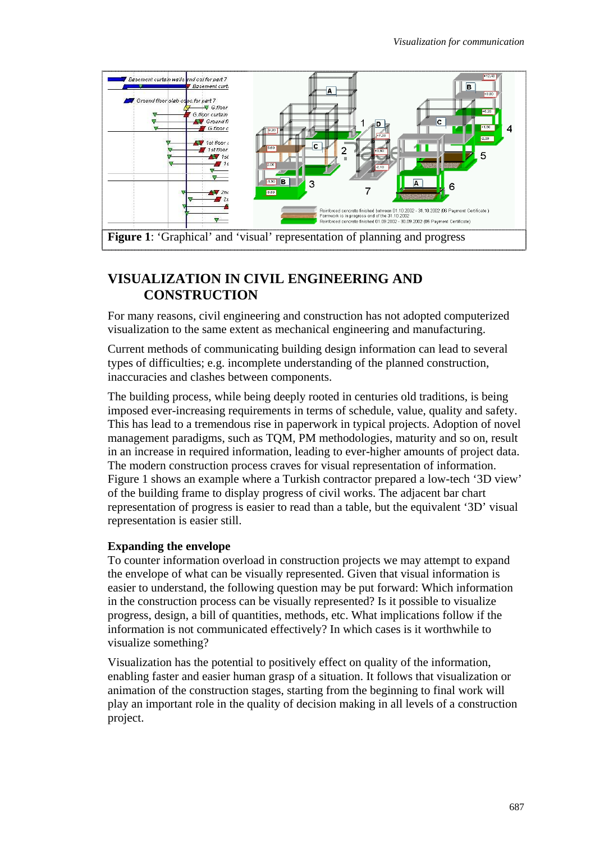

### **VISUALIZATION IN CIVIL ENGINEERING AND CONSTRUCTION**

For many reasons, civil engineering and construction has not adopted computerized visualization to the same extent as mechanical engineering and manufacturing.

Current methods of communicating building design information can lead to several types of difficulties; e.g. incomplete understanding of the planned construction, inaccuracies and clashes between components.

The building process, while being deeply rooted in centuries old traditions, is being imposed ever-increasing requirements in terms of schedule, value, quality and safety. This has lead to a tremendous rise in paperwork in typical projects. Adoption of novel management paradigms, such as TQM, PM methodologies, maturity and so on, result in an increase in required information, leading to ever-higher amounts of project data. The modern construction process craves for visual representation of information. Figure 1 shows an example where a Turkish contractor prepared a low-tech '3D view' of the building frame to display progress of civil works. The adjacent bar chart representation of progress is easier to read than a table, but the equivalent '3D' visual representation is easier still.

#### **Expanding the envelope**

To counter information overload in construction projects we may attempt to expand the envelope of what can be visually represented. Given that visual information is easier to understand, the following question may be put forward: Which information in the construction process can be visually represented? Is it possible to visualize progress, design, a bill of quantities, methods, etc. What implications follow if the information is not communicated effectively? In which cases is it worthwhile to visualize something?

Visualization has the potential to positively effect on quality of the information, enabling faster and easier human grasp of a situation. It follows that visualization or animation of the construction stages, starting from the beginning to final work will play an important role in the quality of decision making in all levels of a construction project.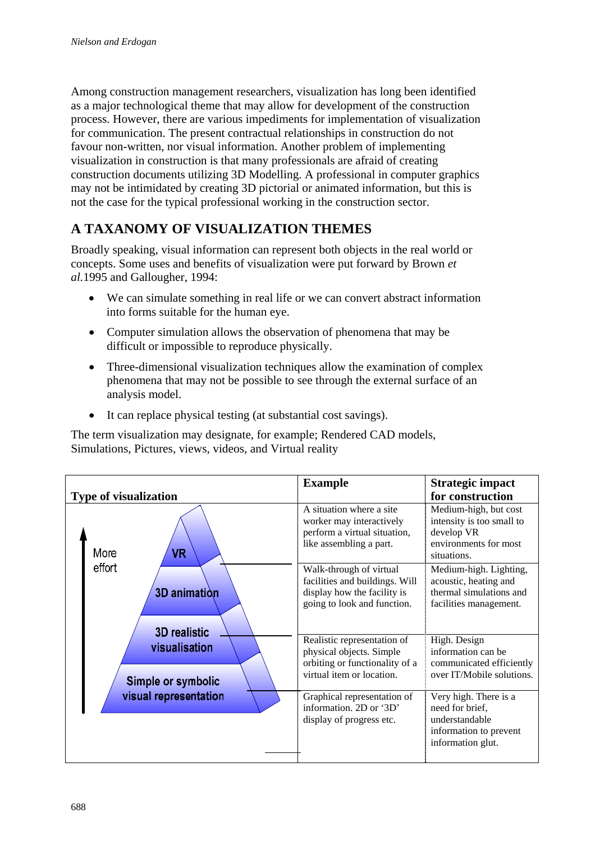Among construction management researchers, visualization has long been identified as a major technological theme that may allow for development of the construction process. However, there are various impediments for implementation of visualization for communication. The present contractual relationships in construction do not favour non-written, nor visual information. Another problem of implementing visualization in construction is that many professionals are afraid of creating construction documents utilizing 3D Modelling. A professional in computer graphics may not be intimidated by creating 3D pictorial or animated information, but this is not the case for the typical professional working in the construction sector.

# **A TAXANOMY OF VISUALIZATION THEMES**

Broadly speaking, visual information can represent both objects in the real world or concepts. Some uses and benefits of visualization were put forward by Brown *et al.*1995 and Gallougher, 1994:

- We can simulate something in real life or we can convert abstract information into forms suitable for the human eye.
- Computer simulation allows the observation of phenomena that may be difficult or impossible to reproduce physically.
- Three-dimensional visualization techniques allow the examination of complex phenomena that may not be possible to see through the external surface of an analysis model.
- It can replace physical testing (at substantial cost savings).

The term visualization may designate, for example; Rendered CAD models, Simulations, Pictures, views, videos, and Virtual reality

| <b>Type of visualization</b>                                                                              | <b>Example</b>                                                                                                          | <b>Strategic impact</b><br>for construction                                                               |
|-----------------------------------------------------------------------------------------------------------|-------------------------------------------------------------------------------------------------------------------------|-----------------------------------------------------------------------------------------------------------|
| More<br><b>VR</b><br>effort<br>3D animation<br><b>3D</b> realistic<br>visualisation<br>Simple or symbolic | A situation where a site<br>worker may interactively<br>perform a virtual situation,<br>like assembling a part.         | Medium-high, but cost<br>intensity is too small to<br>develop VR<br>environments for most<br>situations.  |
|                                                                                                           | Walk-through of virtual<br>facilities and buildings. Will<br>display how the facility is<br>going to look and function. | Medium-high. Lighting,<br>acoustic, heating and<br>thermal simulations and<br>facilities management.      |
|                                                                                                           | Realistic representation of<br>physical objects. Simple<br>orbiting or functionality of a<br>virtual item or location.  | High. Design<br>information can be<br>communicated efficiently<br>over IT/Mobile solutions.               |
| visual representation                                                                                     | Graphical representation of<br>information. 2D or '3D'<br>display of progress etc.                                      | Very high. There is a<br>need for brief,<br>understandable<br>information to prevent<br>information glut. |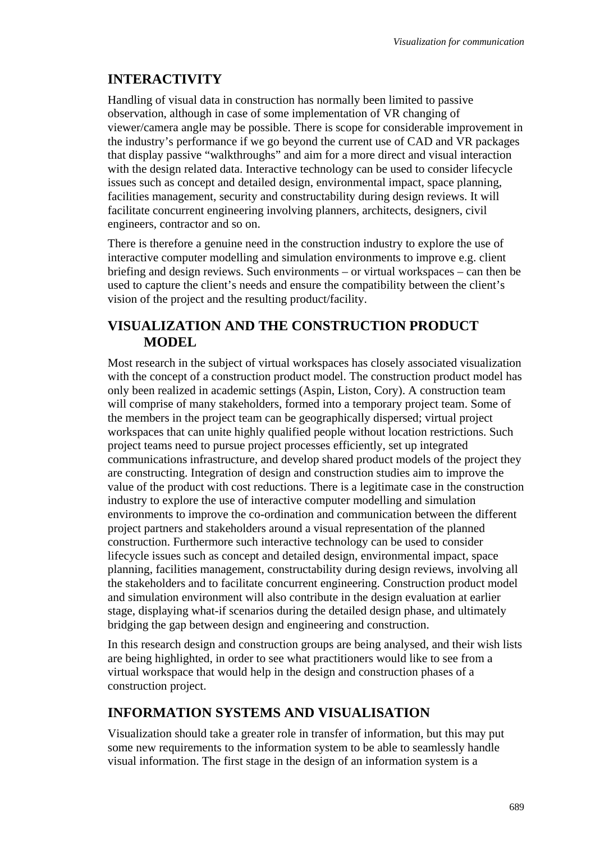### **INTERACTIVITY**

Handling of visual data in construction has normally been limited to passive observation, although in case of some implementation of VR changing of viewer/camera angle may be possible. There is scope for considerable improvement in the industry's performance if we go beyond the current use of CAD and VR packages that display passive "walkthroughs" and aim for a more direct and visual interaction with the design related data. Interactive technology can be used to consider lifecycle issues such as concept and detailed design, environmental impact, space planning, facilities management, security and constructability during design reviews. It will facilitate concurrent engineering involving planners, architects, designers, civil engineers, contractor and so on.

There is therefore a genuine need in the construction industry to explore the use of interactive computer modelling and simulation environments to improve e.g. client briefing and design reviews. Such environments – or virtual workspaces – can then be used to capture the client's needs and ensure the compatibility between the client's vision of the project and the resulting product/facility.

### **VISUALIZATION AND THE CONSTRUCTION PRODUCT MODEL**

Most research in the subject of virtual workspaces has closely associated visualization with the concept of a construction product model. The construction product model has only been realized in academic settings (Aspin, Liston, Cory). A construction team will comprise of many stakeholders, formed into a temporary project team. Some of the members in the project team can be geographically dispersed; virtual project workspaces that can unite highly qualified people without location restrictions. Such project teams need to pursue project processes efficiently, set up integrated communications infrastructure, and develop shared product models of the project they are constructing. Integration of design and construction studies aim to improve the value of the product with cost reductions. There is a legitimate case in the construction industry to explore the use of interactive computer modelling and simulation environments to improve the co-ordination and communication between the different project partners and stakeholders around a visual representation of the planned construction. Furthermore such interactive technology can be used to consider lifecycle issues such as concept and detailed design, environmental impact, space planning, facilities management, constructability during design reviews, involving all the stakeholders and to facilitate concurrent engineering. Construction product model and simulation environment will also contribute in the design evaluation at earlier stage, displaying what-if scenarios during the detailed design phase, and ultimately bridging the gap between design and engineering and construction.

In this research design and construction groups are being analysed, and their wish lists are being highlighted, in order to see what practitioners would like to see from a virtual workspace that would help in the design and construction phases of a construction project.

### **INFORMATION SYSTEMS AND VISUALISATION**

Visualization should take a greater role in transfer of information, but this may put some new requirements to the information system to be able to seamlessly handle visual information. The first stage in the design of an information system is a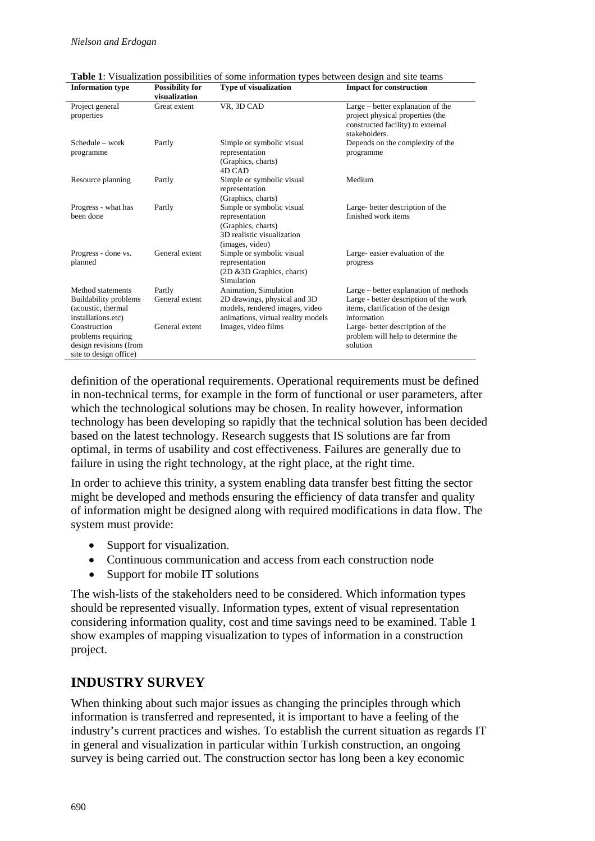|                                                                                        | visualization            |                                                                                                                               |                                                                                                                                      |
|----------------------------------------------------------------------------------------|--------------------------|-------------------------------------------------------------------------------------------------------------------------------|--------------------------------------------------------------------------------------------------------------------------------------|
| Project general<br>properties                                                          | Great extent             | VR. 3D CAD                                                                                                                    | Large – better explanation of the<br>project physical properties (the<br>constructed facility) to external<br>stakeholders.          |
| $S$ chedule – work<br>programme                                                        | Partly                   | Simple or symbolic visual<br>representation<br>(Graphics, charts)<br>4D CAD                                                   | Depends on the complexity of the<br>programme                                                                                        |
| Resource planning                                                                      | Partly                   | Simple or symbolic visual<br>representation<br>(Graphics, charts)                                                             | Medium                                                                                                                               |
| Progress - what has<br>been done                                                       | Partly                   | Simple or symbolic visual<br>representation<br>(Graphics, charts)<br>3D realistic visualization<br>(images, video)            | Large-better description of the<br>finished work items                                                                               |
| Progress - done vs.<br>planned                                                         | General extent           | Simple or symbolic visual<br>representation<br>(2D & 3D Graphics, charts)<br>Simulation                                       | Large-easier evaluation of the<br>progress                                                                                           |
| Method statements<br>Buildability problems<br>(acoustic, thermal<br>installations.etc) | Partly<br>General extent | Animation, Simulation<br>2D drawings, physical and 3D<br>models, rendered images, video<br>animations, virtual reality models | Large – better explanation of methods<br>Large - better description of the work<br>items, clarification of the design<br>information |
| Construction<br>problems requiring<br>design revisions (from<br>site to design office) | General extent           | Images, video films                                                                                                           | Large-better description of the<br>problem will help to determine the<br>solution                                                    |

**Table 1**: Visualization possibilities of some information types between design and site teams<br>Information type **Possibility** for **Type of visualization I**npact for construction **Information type Impact for construction** 

definition of the operational requirements. Operational requirements must be defined in non-technical terms, for example in the form of functional or user parameters, after which the technological solutions may be chosen. In reality however, information technology has been developing so rapidly that the technical solution has been decided based on the latest technology. Research suggests that IS solutions are far from optimal, in terms of usability and cost effectiveness. Failures are generally due to failure in using the right technology, at the right place, at the right time.

In order to achieve this trinity, a system enabling data transfer best fitting the sector might be developed and methods ensuring the efficiency of data transfer and quality of information might be designed along with required modifications in data flow. The system must provide:

- Support for visualization.
- Continuous communication and access from each construction node
- Support for mobile IT solutions

The wish-lists of the stakeholders need to be considered. Which information types should be represented visually. Information types, extent of visual representation considering information quality, cost and time savings need to be examined. Table 1 show examples of mapping visualization to types of information in a construction project.

#### **INDUSTRY SURVEY**

When thinking about such major issues as changing the principles through which information is transferred and represented, it is important to have a feeling of the industry's current practices and wishes. To establish the current situation as regards IT in general and visualization in particular within Turkish construction, an ongoing survey is being carried out. The construction sector has long been a key economic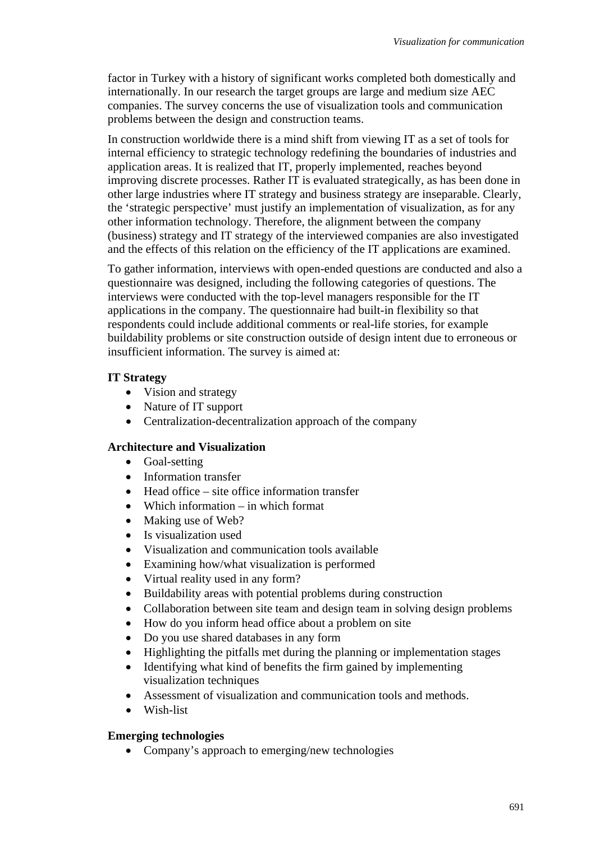factor in Turkey with a history of significant works completed both domestically and internationally. In our research the target groups are large and medium size AEC companies. The survey concerns the use of visualization tools and communication problems between the design and construction teams.

In construction worldwide there is a mind shift from viewing IT as a set of tools for internal efficiency to strategic technology redefining the boundaries of industries and application areas. It is realized that IT, properly implemented, reaches beyond improving discrete processes. Rather IT is evaluated strategically, as has been done in other large industries where IT strategy and business strategy are inseparable. Clearly, the 'strategic perspective' must justify an implementation of visualization, as for any other information technology. Therefore, the alignment between the company (business) strategy and IT strategy of the interviewed companies are also investigated and the effects of this relation on the efficiency of the IT applications are examined.

To gather information, interviews with open-ended questions are conducted and also a questionnaire was designed, including the following categories of questions. The interviews were conducted with the top-level managers responsible for the IT applications in the company. The questionnaire had built-in flexibility so that respondents could include additional comments or real-life stories, for example buildability problems or site construction outside of design intent due to erroneous or insufficient information. The survey is aimed at:

#### **IT Strategy**

- Vision and strategy
- Nature of IT support
- Centralization-decentralization approach of the company

#### **Architecture and Visualization**

- Goal-setting
- Information transfer
- Head office site office information transfer
- Which information in which format
- Making use of Web?
- Is visualization used
- Visualization and communication tools available
- Examining how/what visualization is performed
- Virtual reality used in any form?
- Buildability areas with potential problems during construction
- Collaboration between site team and design team in solving design problems
- How do you inform head office about a problem on site
- Do you use shared databases in any form
- Highlighting the pitfalls met during the planning or implementation stages
- Identifying what kind of benefits the firm gained by implementing visualization techniques
- Assessment of visualization and communication tools and methods.
- Wish-list

#### **Emerging technologies**

• Company's approach to emerging/new technologies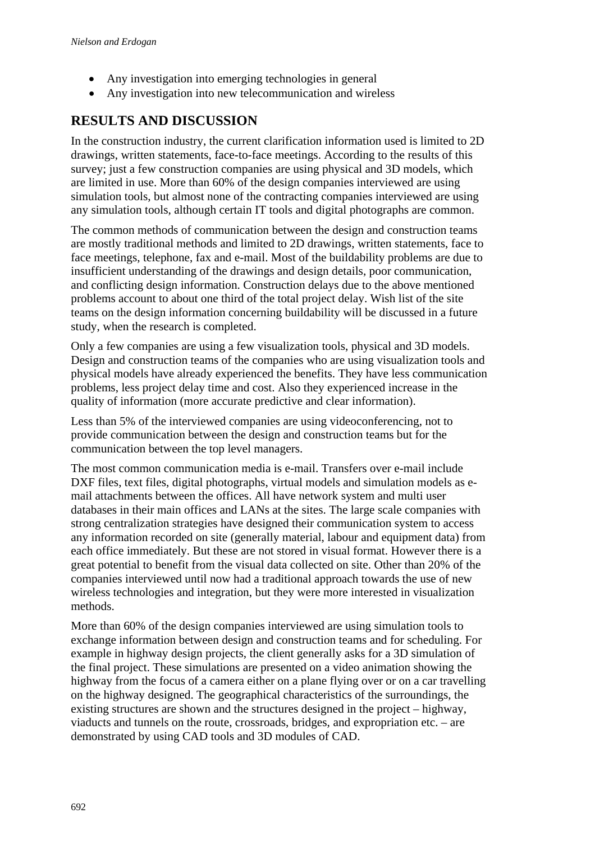- Any investigation into emerging technologies in general
- Any investigation into new telecommunication and wireless

# **RESULTS AND DISCUSSION**

In the construction industry, the current clarification information used is limited to 2D drawings, written statements, face-to-face meetings. According to the results of this survey; just a few construction companies are using physical and 3D models, which are limited in use. More than 60% of the design companies interviewed are using simulation tools, but almost none of the contracting companies interviewed are using any simulation tools, although certain IT tools and digital photographs are common.

The common methods of communication between the design and construction teams are mostly traditional methods and limited to 2D drawings, written statements, face to face meetings, telephone, fax and e-mail. Most of the buildability problems are due to insufficient understanding of the drawings and design details, poor communication, and conflicting design information. Construction delays due to the above mentioned problems account to about one third of the total project delay. Wish list of the site teams on the design information concerning buildability will be discussed in a future study, when the research is completed.

Only a few companies are using a few visualization tools, physical and 3D models. Design and construction teams of the companies who are using visualization tools and physical models have already experienced the benefits. They have less communication problems, less project delay time and cost. Also they experienced increase in the quality of information (more accurate predictive and clear information).

Less than 5% of the interviewed companies are using videoconferencing, not to provide communication between the design and construction teams but for the communication between the top level managers.

The most common communication media is e-mail. Transfers over e-mail include DXF files, text files, digital photographs, virtual models and simulation models as email attachments between the offices. All have network system and multi user databases in their main offices and LANs at the sites. The large scale companies with strong centralization strategies have designed their communication system to access any information recorded on site (generally material, labour and equipment data) from each office immediately. But these are not stored in visual format. However there is a great potential to benefit from the visual data collected on site. Other than 20% of the companies interviewed until now had a traditional approach towards the use of new wireless technologies and integration, but they were more interested in visualization methods.

More than 60% of the design companies interviewed are using simulation tools to exchange information between design and construction teams and for scheduling. For example in highway design projects, the client generally asks for a 3D simulation of the final project. These simulations are presented on a video animation showing the highway from the focus of a camera either on a plane flying over or on a car travelling on the highway designed. The geographical characteristics of the surroundings, the existing structures are shown and the structures designed in the project – highway, viaducts and tunnels on the route, crossroads, bridges, and expropriation etc. – are demonstrated by using CAD tools and 3D modules of CAD.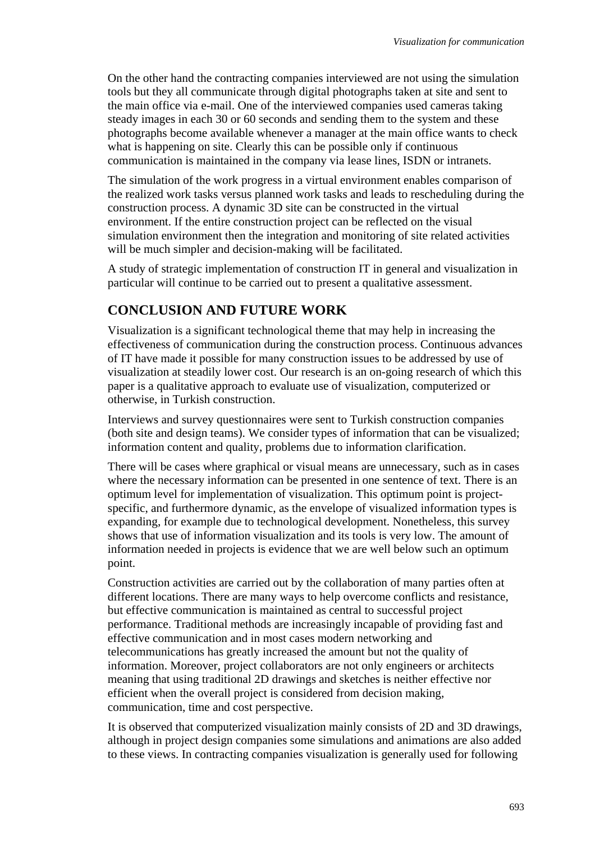On the other hand the contracting companies interviewed are not using the simulation tools but they all communicate through digital photographs taken at site and sent to the main office via e-mail. One of the interviewed companies used cameras taking steady images in each 30 or 60 seconds and sending them to the system and these photographs become available whenever a manager at the main office wants to check what is happening on site. Clearly this can be possible only if continuous communication is maintained in the company via lease lines, ISDN or intranets.

The simulation of the work progress in a virtual environment enables comparison of the realized work tasks versus planned work tasks and leads to rescheduling during the construction process. A dynamic 3D site can be constructed in the virtual environment. If the entire construction project can be reflected on the visual simulation environment then the integration and monitoring of site related activities will be much simpler and decision-making will be facilitated.

A study of strategic implementation of construction IT in general and visualization in particular will continue to be carried out to present a qualitative assessment.

### **CONCLUSION AND FUTURE WORK**

Visualization is a significant technological theme that may help in increasing the effectiveness of communication during the construction process. Continuous advances of IT have made it possible for many construction issues to be addressed by use of visualization at steadily lower cost. Our research is an on-going research of which this paper is a qualitative approach to evaluate use of visualization, computerized or otherwise, in Turkish construction.

Interviews and survey questionnaires were sent to Turkish construction companies (both site and design teams). We consider types of information that can be visualized; information content and quality, problems due to information clarification.

There will be cases where graphical or visual means are unnecessary, such as in cases where the necessary information can be presented in one sentence of text. There is an optimum level for implementation of visualization. This optimum point is projectspecific, and furthermore dynamic, as the envelope of visualized information types is expanding, for example due to technological development. Nonetheless, this survey shows that use of information visualization and its tools is very low. The amount of information needed in projects is evidence that we are well below such an optimum point.

Construction activities are carried out by the collaboration of many parties often at different locations. There are many ways to help overcome conflicts and resistance, but effective communication is maintained as central to successful project performance. Traditional methods are increasingly incapable of providing fast and effective communication and in most cases modern networking and telecommunications has greatly increased the amount but not the quality of information. Moreover, project collaborators are not only engineers or architects meaning that using traditional 2D drawings and sketches is neither effective nor efficient when the overall project is considered from decision making, communication, time and cost perspective.

It is observed that computerized visualization mainly consists of 2D and 3D drawings, although in project design companies some simulations and animations are also added to these views. In contracting companies visualization is generally used for following